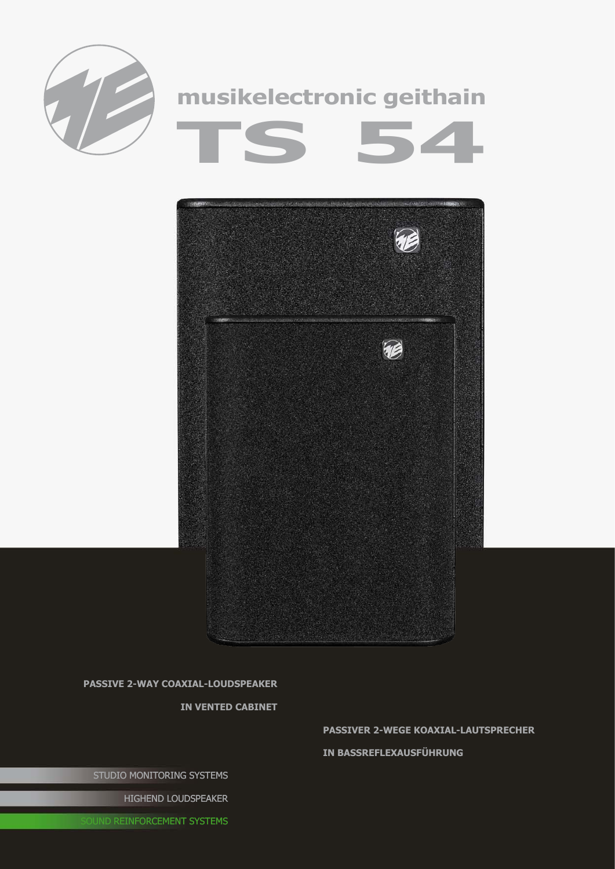



**passive 2-way coaxial-Loudspeaker** 

**in vented cabinet**

**passiveR 2-wEGE Koaxial-lAUTSPRECHER**

**in Bassreflexausführung**

STUDIO MONITORING SYSTEMS

HIGHEND LOUDSPEAKER

**OUND REINFORCEMENT SYSTEMS**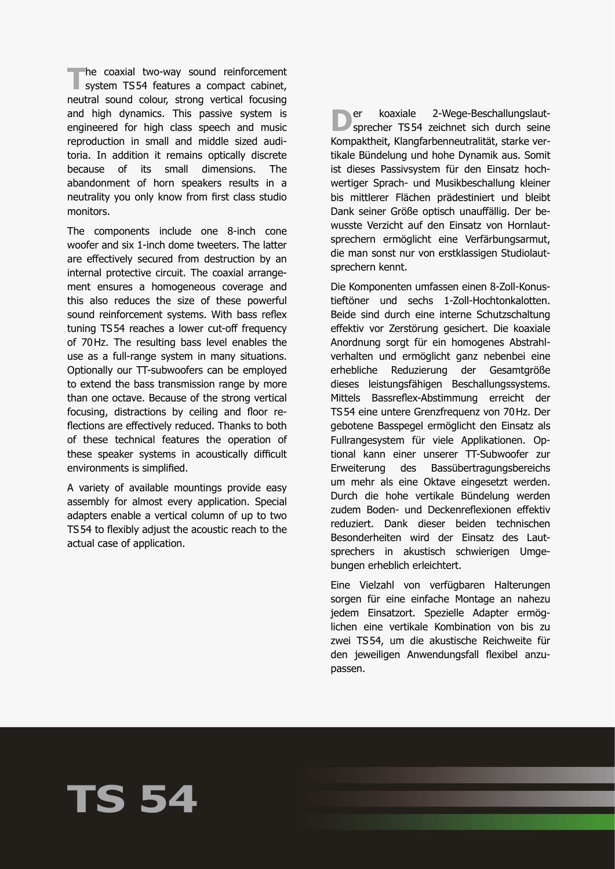**The coaxial two-way sound reinforcement**<br>
system TS54 features a compact cabinet, neutral sound colour, strong vertical focusing and high dynamics. This passive system is engineered for high class speech and music reproduction in small and middle sized auditoria. In addition it remains optically discrete because of its small dimensions. The abandonment of horn speakers results in a neutrality you only know from first class studio monitors.

The components include one 8-inch cone woofer and six 1-inch dome tweeters. The latter are effectively secured from destruction by an internal protective circuit. The coaxial arrangement ensures a homogeneous coverage and this also reduces the size of these powerful sound reinforcement systems. With bass reflex tuning TS54 reaches a lower cut-off frequency of 70Hz. The resulting bass level enables the use as a full-range system in many situations. Optionally our TT-subwoofers can be employed to extend the bass transmission range by more than one octave. Because of the strong vertical focusing, distractions by ceiling and floor reflections are effectively reduced. Thanks to both of these technical features the operation of these speaker systems in acoustically difficult environments is simplified.

A variety of available mountings provide easy assembly for almost every application. Special adapters enable a vertical column of up to two TS54 to flexibly adjust the acoustic reach to the actual case of application.

**TS 54**

**D**er koaxiale 2-Wege-Beschallungslaut-<br>sprecher TS54 zeichnet sich durch seine Kompaktheit, Klangfarbenneutralität, starke vertikale Bündelung und hohe Dynamik aus. Somit ist dieses Passivsystem für den Einsatz hochwertiger Sprach- und Musikbeschallung kleiner bis mittlerer Flächen prädestiniert und bleibt Dank seiner Größe optisch unauffällig. Der bewusste Verzicht auf den Einsatz von Hornlautsprechern ermöglicht eine Verfärbungsarmut, die man sonst nur von erstklassigen Studiolautsprechern kennt.

Die Komponenten umfassen einen 8-Zoll-Konustieftöner und sechs 1-Zoll-Hochtonkalotten. Beide sind durch eine interne Schutzschaltung effektiv vor Zerstörung gesichert. Die koaxiale Anordnung sorgt für ein homogenes Abstrahlverhalten und ermöglicht ganz nebenbei eine erhebliche Reduzierung der Gesamtgröße dieses leistungsfähigen Beschallungssystems. Mittels Bassreflex-Abstimmung erreicht der TS54 eine untere Grenzfrequenz von 70Hz. Der gebotene Basspegel ermöglicht den Einsatz als Fullrangesystem für viele Applikationen. Optional kann einer unserer TT-Subwoofer zur Erweiterung des Bassübertragungsbereichs um mehr als eine Oktave eingesetzt werden. Durch die hohe vertikale Bündelung werden zudem Boden- und Deckenreflexionen effektiv reduziert. Dank dieser beiden technischen Besonderheiten wird der Einsatz des Lautsprechers in akustisch schwierigen Umgebungen erheblich erleichtert.

Eine Vielzahl von verfügbaren Halterungen sorgen für eine einfache Montage an nahezu jedem Einsatzort. Spezielle Adapter ermöglichen eine vertikale Kombination von bis zu zwei TS54, um die akustische Reichweite für den jeweiligen Anwendungsfall flexibel anzupassen.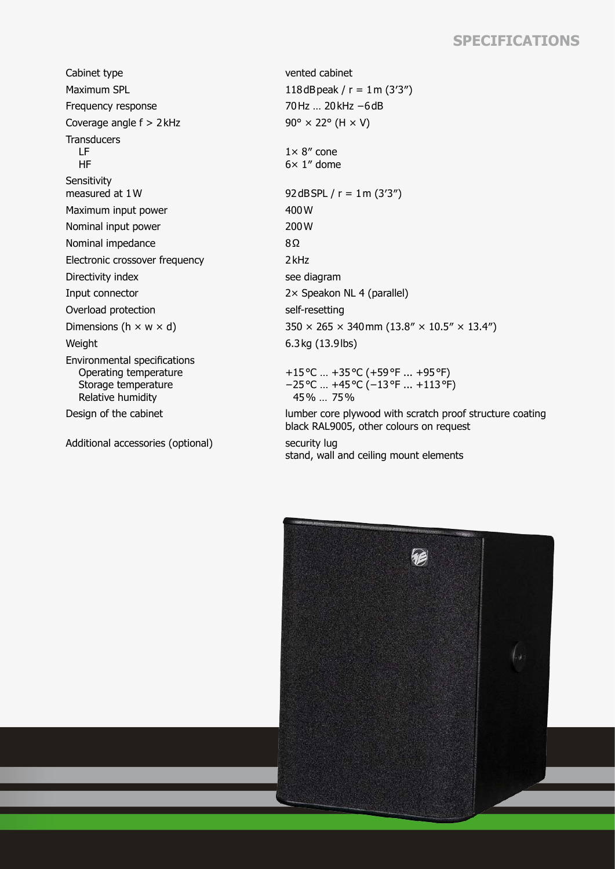## **Specifications**

Cabinet type vented cabinet Maximum SPL  $118dB$ peak / r = 1m (3'3") Frequency response 70Hz … 20kHz −6dB Coverage angle  $f > 2$ kHz 90° × 22° (H  $\times$  V) **Transducers**  LF HF **Sensitivity** measured at  $1 \text{W}$  92dBSPL / r =  $1 \text{m} (3'3'')$ Maximum input power 400W Nominal input power 200 W Nominal impedance 8Ω Electronic crossover frequency **2kHz** Directivity index see diagram Input connector 2× Speakon NL 4 (parallel) Overload protection self-resetting Weight 6.3kg (13.9lbs) Environmental specifications Operating temperature Storage temperature Relative humidity

Additional accessories (optional) security lug

 $1 \times 8$ " cone  $6\times 1''$  dome Dimensions (h  $\times$  w  $\times$  d) 350  $\times$  265  $\times$  340 mm (13.8"  $\times$  10.5"  $\times$  13.4") +15°C … +35°C (+59°F ... +95°F) −25°C … +45°C (−13°F ... +113°F)

Design of the cabinet lumber core plywood with scratch proof structure coating black RAL9005, other colours on request

stand, wall and ceiling mount elements

45% … 75%